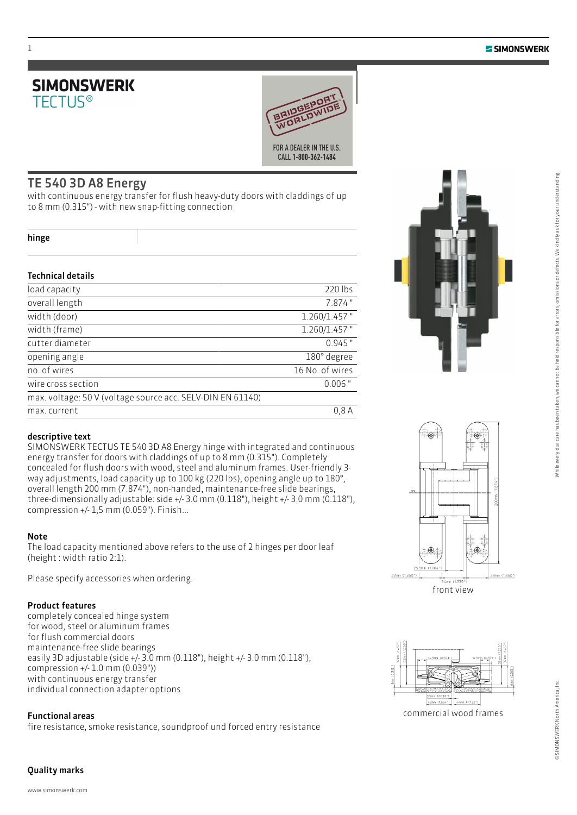



### TE 540 3D A8 Energy

with continuous energy transfer for flush heavy-duty doors with claddings of up to 8 mm (0.315") - with new snap-fitting connection

|  | v |
|--|---|

### Technical details

| load capacity                                              | 220 lbs         |
|------------------------------------------------------------|-----------------|
| overall length                                             | 7.874"          |
| width (door)                                               | 1.260/1.457"    |
| width (frame)                                              | $1.260/1.457$ " |
| cutter diameter                                            | $0.945$ "       |
| opening angle                                              | 180° degree     |
| no. of wires                                               | 16 No. of wires |
| wire cross section                                         | $0.006$ "       |
| max. voltage: 50 V (voltage source acc. SELV-DIN EN 61140) |                 |
| max. current                                               | 0,8A            |
|                                                            |                 |



SIMONSWERK TECTUS TE 540 3D A8 Energy hinge with integrated and continuous energy transfer for doors with claddings of up to 8 mm (0.315"). Completely concealed for flush doors with wood, steel and aluminum frames. User-friendly 3 way adjustments, load capacity up to 100 kg (220 lbs), opening angle up to 180°, overall length 200 mm (7.874"), non-handed, maintenance-free slide bearings, three-dimensionally adjustable: side +/- 3.0 mm (0.118"), height +/- 3.0 mm (0.118"), compression +/- 1,5 mm (0.059"). Finish...

#### Note

The load capacity mentioned above refers to the use of 2 hinges per door leaf (height : width ratio 2:1).

Please specify accessories when ordering.

### Product features

completely concealed hinge system for wood, steel or aluminum frames for flush commercial doors maintenance-free slide bearings easily 3D adjustable (side +/- 3.0 mm (0.118"), height +/- 3.0 mm (0.118"), compression +/- 1.0 mm (0.039")) with continuous energy transfer individual connection adapter options

### Functional areas

fire resistance, smoke resistance, soundproof und forced entry resistance





front view



# 1